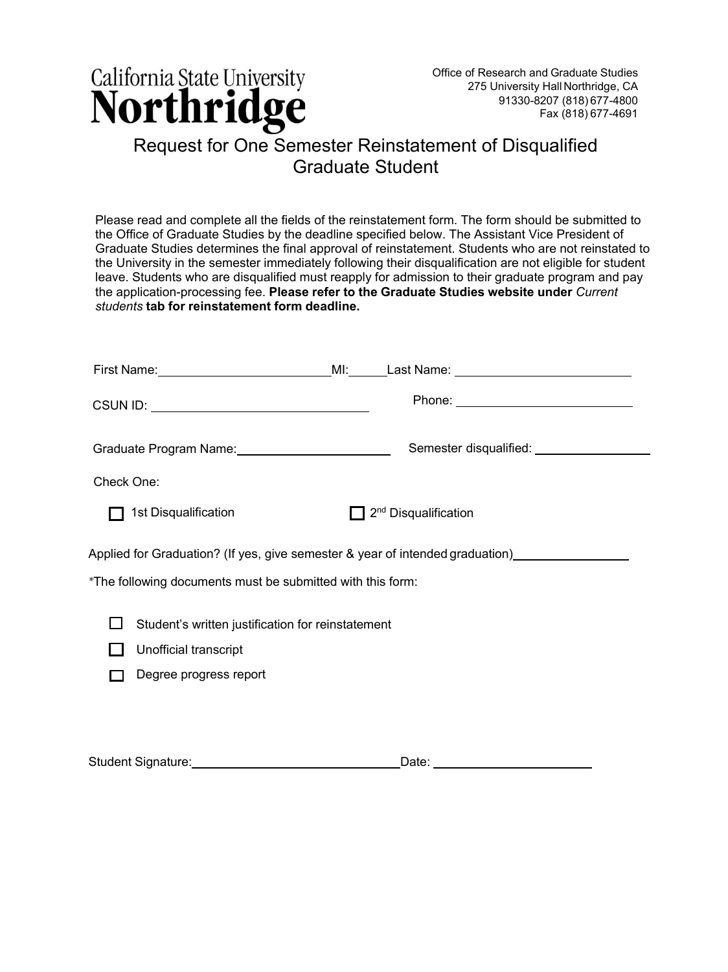

## Graduate Student

| Please read and complete all the fields of the reinstatement form. The form should be submitted to                                          |
|---------------------------------------------------------------------------------------------------------------------------------------------|
| the Office of Graduate Studies by the deadline specified below. The Assistant Vice President of                                             |
| Graduate Studies determines the final approval of reinstatement. Students who are not reinstated to                                         |
| the University in the semester immediately following their disqualification are not eligible for student                                    |
| leave. Students who are disqualified must reapply for admission to their graduate program and pay                                           |
| the application-processing fee. Please refer to the Graduate Studies website under Current<br>students tab for reinstatement form deadline. |

|                        |                                                                      | First Name: ___________________________________MI:_______Last Name: ________________________________ |  |
|------------------------|----------------------------------------------------------------------|------------------------------------------------------------------------------------------------------|--|
|                        |                                                                      |                                                                                                      |  |
|                        | Graduate Program Name: Cambridge Contains and Craduate Program Name: | Semester disqualified: _________________                                                             |  |
| Check One:             |                                                                      |                                                                                                      |  |
| 1st Disqualification   |                                                                      | 2 <sup>nd</sup> Disqualification                                                                     |  |
|                        |                                                                      | Applied for Graduation? (If yes, give semester & year of intended graduation)________________        |  |
|                        | *The following documents must be submitted with this form:           |                                                                                                      |  |
|                        | Student's written justification for reinstatement                    |                                                                                                      |  |
| Unofficial transcript  |                                                                      |                                                                                                      |  |
| Degree progress report |                                                                      |                                                                                                      |  |
|                        |                                                                      |                                                                                                      |  |
|                        |                                                                      |                                                                                                      |  |
|                        |                                                                      |                                                                                                      |  |

Student Signature: Date: Date: Date: